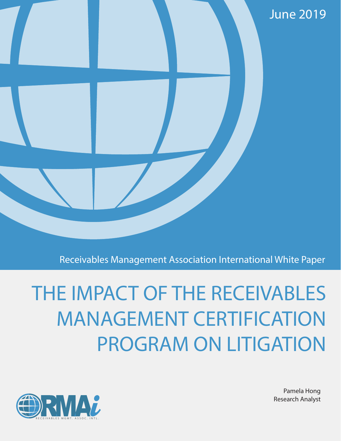

Receivables Management Association International White Paper

# THE IMPACT OF THE RECEIVABLES MANAGEMENT CERTIFICATION PROGRAM ON LITIGATION



Pamela Hong Research Analyst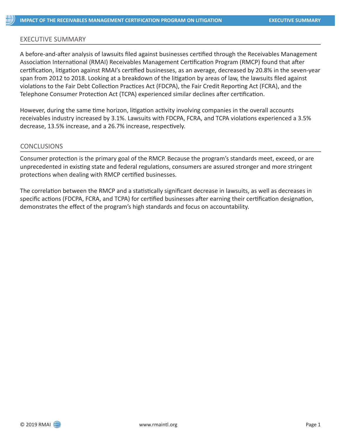#### EXECUTIVE SUMMARY

A before-and-after analysis of lawsuits filed against businesses certified through the Receivables Management Association International (RMAI) Receivables Management Certification Program (RMCP) found that after certification, litigation against RMAI's certified businesses, as an average, decreased by 20.8% in the seven-year span from 2012 to 2018. Looking at a breakdown of the litigation by areas of law, the lawsuits filed against violations to the Fair Debt Collection Practices Act (FDCPA), the Fair Credit Reporting Act (FCRA), and the Telephone Consumer Protection Act (TCPA) experienced similar declines after certification.

However, during the same time horizon, litigation activity involving companies in the overall accounts receivables industry increased by 3.1%. Lawsuits with FDCPA, FCRA, and TCPA violations experienced a 3.5% decrease, 13.5% increase, and a 26.7% increase, respectively.

# CONCLUSIONS

Consumer protection is the primary goal of the RMCP. Because the program's standards meet, exceed, or are unprecedented in existing state and federal regulations, consumers are assured stronger and more stringent protections when dealing with RMCP certified businesses.

The correlation between the RMCP and a statistically significant decrease in lawsuits, as well as decreases in specific actions (FDCPA, FCRA, and TCPA) for certified businesses after earning their certification designation, demonstrates the effect of the program's high standards and focus on accountability.

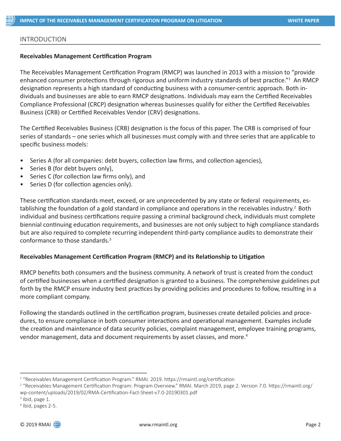# INTRODUCTION

#### **Receivables Management Certification Program**

The Receivables Management Certification Program (RMCP) was launched in 2013 with a mission to "provide enhanced consumer protections through rigorous and uniform industry standards of best practice."<sup>1</sup> An RMCP designation represents a high standard of conducting business with a consumer-centric approach. Both individuals and businesses are able to earn RMCP designations. Individuals may earn the Certified Receivables Compliance Professional (CRCP) designation whereas businesses qualify for either the Certified Receivables Business (CRB) or Certified Receivables Vendor (CRV) designations.

The Certified Receivables Business (CRB) designation is the focus of this paper. The CRB is comprised of four series of standards – one series which all businesses must comply with and three series that are applicable to specific business models:

- Series A (for all companies: debt buyers, collection law firms, and collection agencies),
- Series B (for debt buyers only),
- Series C (for collection law firms only), and
- Series D (for collection agencies only).

These certification standards meet, exceed, or are unprecedented by any state or federal requirements, establishing the foundation of a gold standard in compliance and operations in the receivables industry.<sup>2</sup> Both individual and business certifications require passing a criminal background check, individuals must complete biennial continuing education requirements, and businesses are not only subject to high compliance standards but are also required to complete recurring independent third-party compliance audits to demonstrate their conformance to those standards.3

#### **Receivables Management Certification Program (RMCP) and its Relationship to Litigation**

RMCP benefits both consumers and the business community. A network of trust is created from the conduct of certified businesses when a certified designation is granted to a business. The comprehensive guidelines put forth by the RMCP ensure industry best practices by providing policies and procedures to follow, resulting in a more compliant company.

Following the standards outlined in the certification program, businesses create detailed policies and procedures, to ensure compliance in both consumer interactions and operational management. Examples include the creation and maintenance of data security policies, complaint management, employee training programs, vendor management, data and document requirements by asset classes, and more.<sup>4</sup>

<sup>1</sup> "Receivables Management Certification Program." RMAI. 2019. https://rmaintl.org/certification

<sup>2</sup> "Receivables Management Certification Program: Program Overview." RMAI. March 2019, page 2. Version 7.0. https://rmaintl.org/ wp-content/uploads/2019/02/RMA-Certification-Fact-Sheet-v7.0-20190301.pdf

<sup>&</sup>lt;sup>3</sup> Ibid, page 1.

<sup>4</sup> Ibid, pages 2-5.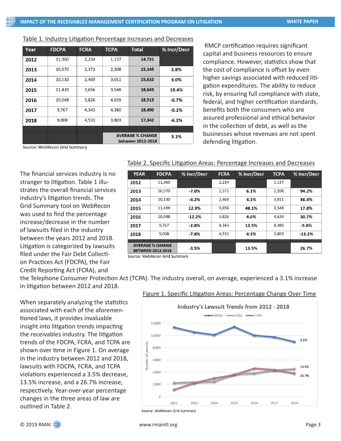| Table 1. Industry Litigation Percentage Increases and Decreases |
|-----------------------------------------------------------------|
|-----------------------------------------------------------------|

| Year | <b>FDCPA</b> | <b>FCRA</b> | <b>TCPA</b>                                  | <b>Total</b> | <b>% Incr/Decr</b> |
|------|--------------|-------------|----------------------------------------------|--------------|--------------------|
| 2012 | 11,360       | 2,234       | 1,137                                        | 14,731       |                    |
| 2013 | 10,570       | 2,371       | 2,208                                        | 15,149       | 2.8%               |
| 2014 | 10,130       | 2,469       | 3,011                                        | 15,610       | 3.0%               |
| 2015 | 11,439       | 3,656       | 3,548                                        | 18,643       | 19.4%              |
| 2016 | 10,048       | 3,826       | 4,639                                        | 18,513       | $-0.7%$            |
| 2017 | 9,767        | 4,343       | 4,380                                        | 18,490       | $-0.1%$            |
| 2018 | 9,008        | 4,531       | 3,803                                        | 17,342       | $-6.2%$            |
|      |              |             |                                              |              |                    |
|      |              |             | <b>AVERAGE % CHANGE</b><br>between 2012-2018 | 3.1%         |                    |

 RMCP certification requires significant capital and business resources to ensure compliance. However, statistics show that the cost of compliance is offset by even higher savings associated with reduced litigation expenditures. The ability to reduce risk, by ensuring full compliance with state, federal, and higher certification standards, benefits both the consumers who are assured professional and ethical behavior in the collection of debt, as well as the businesses whose revenues are not spent defending litigation.

Source: WebRecon Grid Summary

The financial services industry is no stranger to litigation. Table 1 illustrates the overall financial services industry's litigation trends. The Grid Summary tool on WebRecon was used to find the percentage increase/decrease in the number of lawsuits filed in the industry between the years 2012 and 2018. Litigation is categorized by lawsuits filed under the Fair Debt Collection Practices Act (FDCPA), the Fair Credit Reporting Act (FCRA), and

# Table 2. Specific Litigation Areas: Percentage Increases and Decreases

| <b>YEAR</b>                                                                          | <b>FDCPA</b> | % Incr/Decr | <b>FCRA</b> | % Incr/Decr | <b>TCPA</b> | % Incr/Decr |
|--------------------------------------------------------------------------------------|--------------|-------------|-------------|-------------|-------------|-------------|
| 2012                                                                                 | 11,360       |             | 2,234       |             | 1,137       |             |
| 2013                                                                                 | 10,570       | $-7.0%$     | 2,371       | 6.1%        | 2,208       | 94.2%       |
| 2014                                                                                 | 10,130       | $-4.2%$     | 2,469       | 4.1%        | 3,011       | 36.4%       |
| 2015                                                                                 | 11,439       | 12.9%       | 3,656       | 48.1%       | 3,548       | 17.8%       |
| 2016                                                                                 | 10,048       | $-12.2%$    | 3,826       | 4.6%        | 4,639       | 30.7%       |
| 2017                                                                                 | 9,767        | $-2.8%$     | 4,343       | 13.5%       | 4,380       | $-5.6%$     |
| 2018                                                                                 | 9,008        | $-7.8%$     | 4,531       | 4.3%        | 3,803       | $-13.2%$    |
| <b>AVERAGE % CHANGE</b><br><b>BETWEEN 2012-2018</b><br>Cource: Wohnocon Crid Cummany |              | $-3.5%$     |             | 13.5%       |             | 26.7%       |

the Telephone Consumer Protection Act (TCPA). The industry overall, on average, experienced a 3.1% increase in litigation between 2012 and 2018.

When separately analyzing the statistics associated with each of the aforementioned laws, it provides invaluable insight into litigation trends impacting the receivables industry. The litigation trends of the FDCPA, FCRA, and TCPA are shown over time in Figure 1. On average in the industry between 2012 and 2018, lawsuits with FDCPA, FCRA, and TCPA violations experienced a 3.5% decrease, 13.5% increase, and a 26.7% increase, respectively. Year-over-year percentage changes in the three areas of law are outlined in Table 2.

# Figure 1. Specific Litigation Areas: Percentage Change Over Time



Source: WebRecon Grid Summary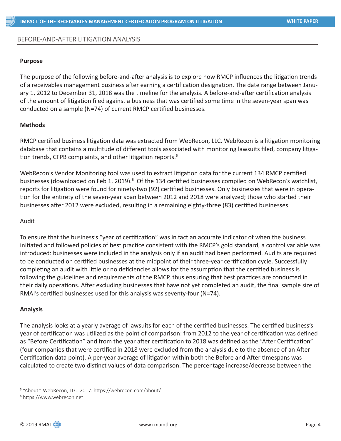# BEFORE-AND-AFTER LITIGATION ANALYSIS

#### **Purpose**

The purpose of the following before-and-after analysis is to explore how RMCP influences the litigation trends of a receivables management business after earning a certification designation. The date range between January 1, 2012 to December 31, 2018 was the timeline for the analysis. A before-and-after certification analysis of the amount of litigation filed against a business that was certified some time in the seven-year span was conducted on a sample (N=74) of current RMCP certified businesses.

### **Methods**

RMCP certified business litigation data was extracted from WebRecon, LLC. WebRecon is a litigation monitoring database that contains a multitude of different tools associated with monitoring lawsuits filed, company litigation trends, CFPB complaints, and other litigation reports.<sup>5</sup>

WebRecon's Vendor Monitoring tool was used to extract litigation data for the current 134 RMCP certified businesses (downloaded on Feb 1, 2019).<sup>6</sup> Of the 134 certified businesses compiled on WebRecon's watchlist, reports for litigation were found for ninety-two (92) certified businesses. Only businesses that were in operation for the entirety of the seven-year span between 2012 and 2018 were analyzed; those who started their businesses after 2012 were excluded, resulting in a remaining eighty-three (83) certified businesses.

#### Audit

To ensure that the business's "year of certification" was in fact an accurate indicator of when the business initiated and followed policies of best practice consistent with the RMCP's gold standard, a control variable was introduced: businesses were included in the analysis only if an audit had been performed. Audits are required to be conducted on certified businesses at the midpoint of their three-year certification cycle. Successfully completing an audit with little or no deficiencies allows for the assumption that the certified business is following the guidelines and requirements of the RMCP, thus ensuring that best practices are conducted in their daily operations. After excluding businesses that have not yet completed an audit, the final sample size of RMAI's certified businesses used for this analysis was seventy-four (N=74).

#### **Analysis**

The analysis looks at a yearly average of lawsuits for each of the certified businesses. The certified business's year of certification was utilized as the point of comparison: from 2012 to the year of certification was defined as "Before Certification" and from the year after certification to 2018 was defined as the "After Certification" (four companies that were certified in 2018 were excluded from the analysis due to the absence of an After Certification data point). A per-year average of litigation within both the Before and After timespans was calculated to create two distinct values of data comparison. The percentage increase/decrease between the

<sup>5</sup> "About." WebRecon, LLC. 2017. https://webrecon.com/about/

<sup>6</sup> https://www.webrecon.net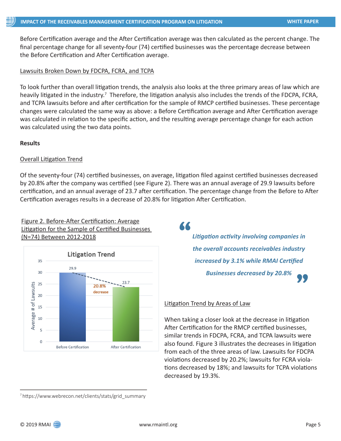Before Certification average and the After Certification average was then calculated as the percent change. The final percentage change for all seventy-four (74) certified businesses was the percentage decrease between the Before Certification and After Certification average.

# Lawsuits Broken Down by FDCPA, FCRA, and TCPA

To look further than overall litigation trends, the analysis also looks at the three primary areas of law which are heavily litigated in the industry.<sup>7</sup> Therefore, the litigation analysis also includes the trends of the FDCPA, FCRA, and TCPA lawsuits before and after certification for the sample of RMCP certified businesses. These percentage changes were calculated the same way as above: a Before Certification average and After Certification average was calculated in relation to the specific action, and the resulting average percentage change for each action was calculated using the two data points.

#### **Results**

### Overall Litigation Trend

Of the seventy-four (74) certified businesses, on average, litigation filed against certified businesses decreased by 20.8% after the company was certified (see Figure 2). There was an annual average of 29.9 lawsuits before certification, and an annual average of 23.7 after certification. The percentage change from the Before to After Certification averages results in a decrease of 20.8% for litigation After Certification.

# Figure 2. Before-After Certification: Average Litigation for the Sample of Certified Businesses (N=74) Between 2012-2018 *Litigation activity involving companies in*



"

*the overall accounts receivables industry increased by 3.1% while RMAI Certified*  **Businesses decreased by 20.8%** 

#### Litigation Trend by Areas of Law

When taking a closer look at the decrease in litigation After Certification for the RMCP certified businesses, similar trends in FDCPA, FCRA, and TCPA lawsuits were also found. Figure 3 illustrates the decreases in litigation from each of the three areas of law. Lawsuits for FDCPA violations decreased by 20.2%; lawsuits for FCRA violations decreased by 18%; and lawsuits for TCPA violations decreased by 19.3%.

7 https://www.webrecon.net/clients/stats/grid\_summary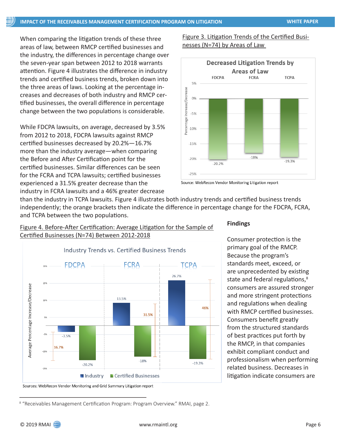When comparing the litigation trends of these three areas of law, between RMCP certified businesses and the industry, the differences in percentage change over the seven-year span between 2012 to 2018 warrants attention. Figure 4 illustrates the difference in industry trends and certified business trends, broken down into the three areas of laws. Looking at the percentage increases and decreases of both industry and RMCP certified businesses, the overall difference in percentage change between the two populations is considerable.

While FDCPA lawsuits, on average, decreased by 3.5% from 2012 to 2018, FDCPA lawsuits against RMCP certified businesses decreased by 20.2%—16.7% more than the industry average—when comparing the Before and After Certification point for the certified businesses. Similar differences can be seen for the FCRA and TCPA lawsuits; certified businesses experienced a 31.5% greater decrease than the industry in FCRA lawsuits and a 46% greater decrease

Figure 3. Litigation Trends of the Certified Businesses (N=74) by Areas of Law



Source: WebRecon Vendor Monitoring Litigation report

than the industry in TCPA lawsuits. Figure 4 illustrates both industry trends and certified business trends independently; the orange brackets then indicate the difference in percentage change for the FDCPA, FCRA, and TCPA between the two populations.

Figure 4. Before-After Certification: Average Litigation for the Sample of Certified Businesses (N=74) Between 2012-2018



### **Findings**

Consumer protection is the primary goal of the RMCP. Because the program's standards meet, exceed, or are unprecedented by existing state and federal regulations,<sup>8</sup> consumers are assured stronger and more stringent protections and regulations when dealing with RMCP certified businesses. Consumers benefit greatly from the structured standards of best practices put forth by the RMCP, in that companies exhibit compliant conduct and professionalism when performing related business. Decreases in litigation indicate consumers are

Sources: WebRecon Vendor Monitoring and Grid Summary Litigation report

<sup>&</sup>lt;sup>8</sup> "Receivables Management Certification Program: Program Overview." RMAI, page 2.